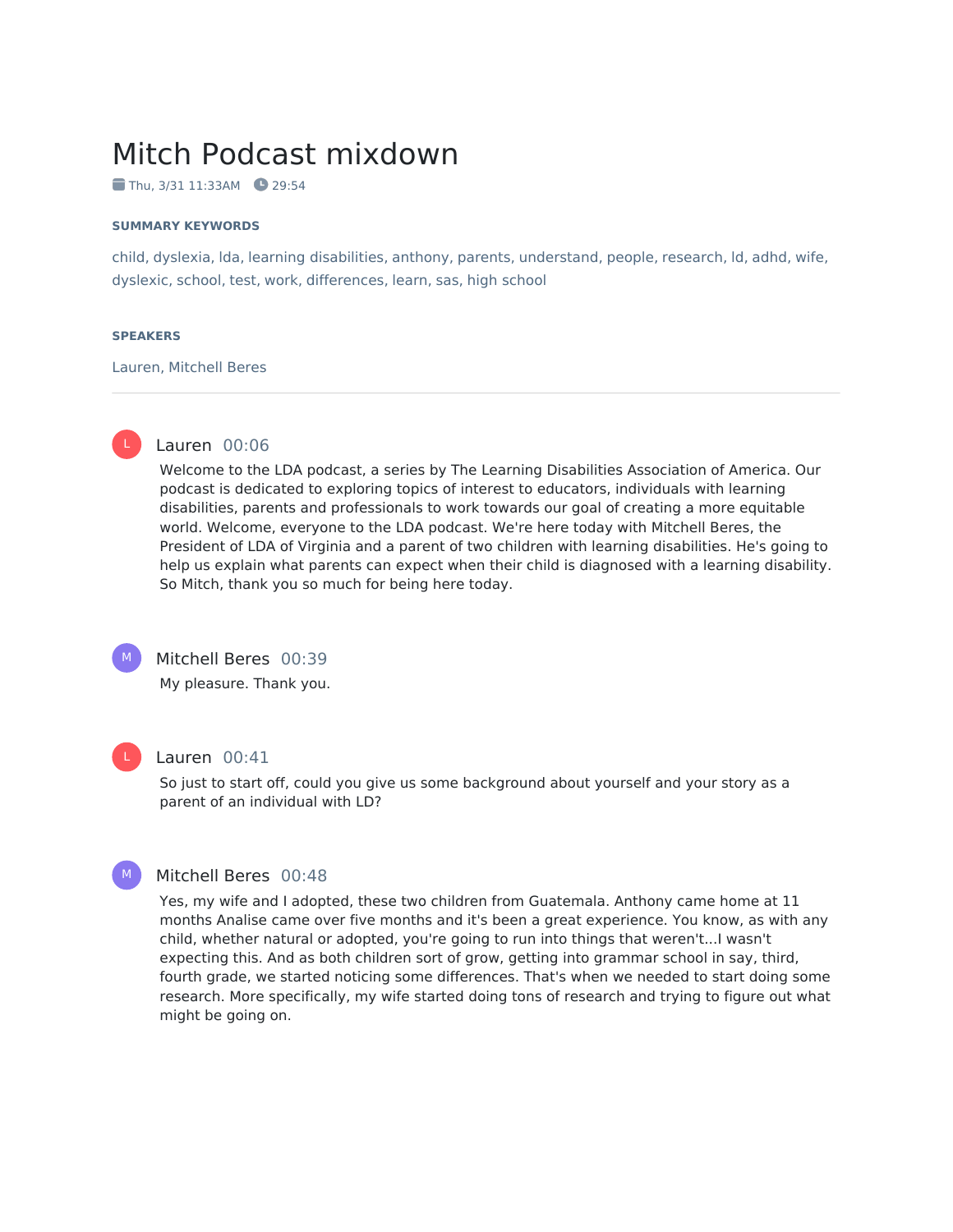# Mitch Podcast mixdown

 $\blacksquare$  Thu, 3/31 11:33AM  $\blacksquare$  29:54

#### **SUMMARY KEYWORDS**

child, dyslexia, lda, learning disabilities, anthony, parents, understand, people, research, ld, adhd, wife, dyslexic, school, test, work, differences, learn, sas, high school

#### **SPEAKERS**

Lauren, Mitchell Beres



# Lauren 00:06

Welcome to the LDA podcast, a series by The Learning Disabilities Association of America. Our podcast is dedicated to exploring topics of interest to educators, individuals with learning disabilities, parents and professionals to work towards our goal of creating a more equitable world. Welcome, everyone to the LDA podcast. We're here today with Mitchell Beres, the President of LDA of Virginia and a parent of two children with learning disabilities. He's going to help us explain what parents can expect when their child is diagnosed with a learning disability. So Mitch, thank you so much for being here today.



# Mitchell Beres 00:39

My pleasure. Thank you.



# Lauren 00:41

So just to start off, could you give us some background about yourself and your story as a parent of an individual with LD?



# Mitchell Beres 00:48

Yes, my wife and I adopted, these two children from Guatemala. Anthony came home at 11 months Analise came over five months and it's been a great experience. You know, as with any child, whether natural or adopted, you're going to run into things that weren't...I wasn't expecting this. And as both children sort of grow, getting into grammar school in say, third, fourth grade, we started noticing some differences. That's when we needed to start doing some research. More specifically, my wife started doing tons of research and trying to figure out what might be going on.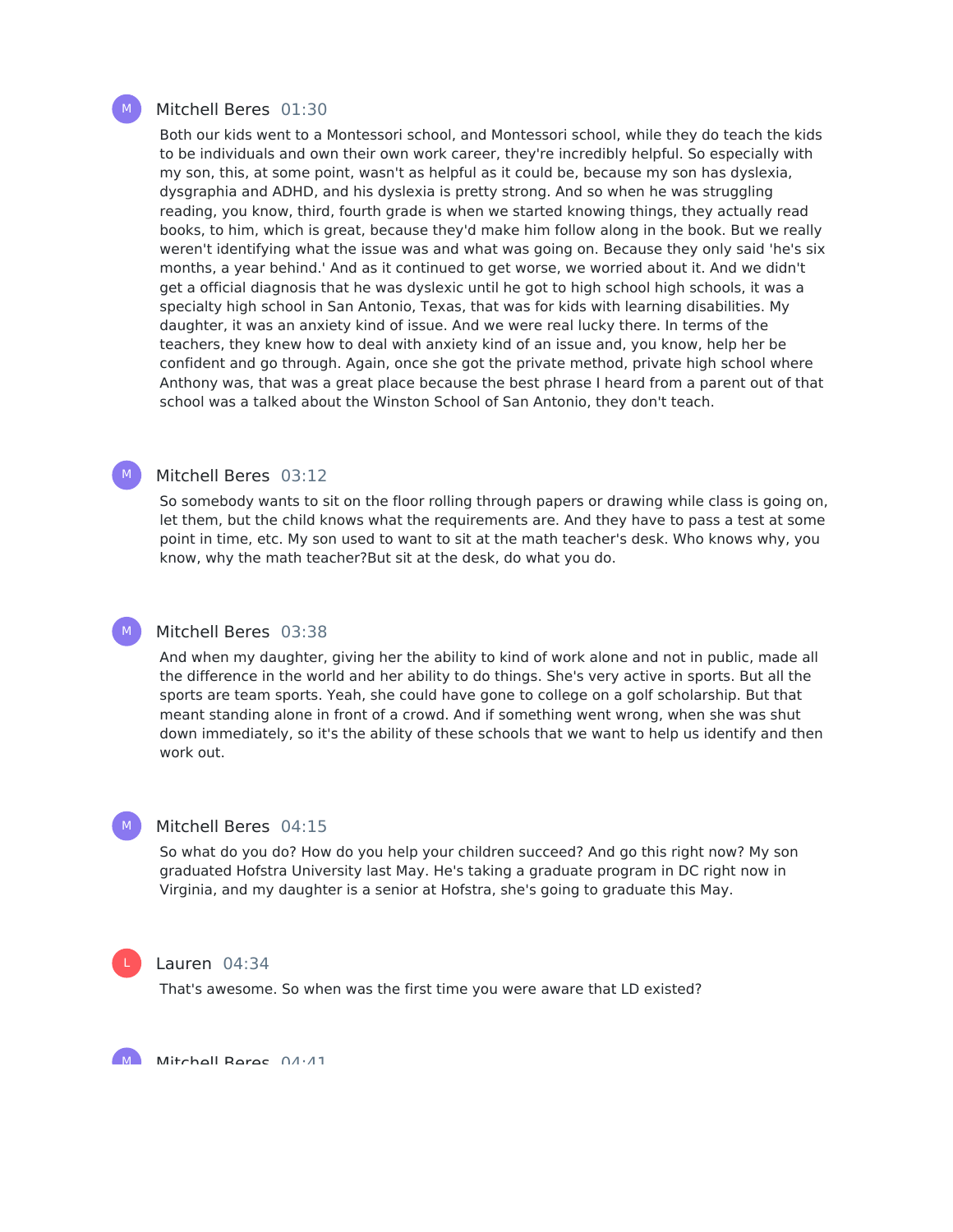# Mitchell Beres 01:30

Both our kids went to a Montessori school, and Montessori school, while they do teach the kids to be individuals and own their own work career, they're incredibly helpful. So especially with my son, this, at some point, wasn't as helpful as it could be, because my son has dyslexia, dysgraphia and ADHD, and his dyslexia is pretty strong. And so when he was struggling reading, you know, third, fourth grade is when we started knowing things, they actually read books, to him, which is great, because they'd make him follow along in the book. But we really weren't identifying what the issue was and what was going on. Because they only said 'he's six months, a year behind.' And as it continued to get worse, we worried about it. And we didn't get a official diagnosis that he was dyslexic until he got to high school high schools, it was a specialty high school in San Antonio, Texas, that was for kids with learning disabilities. My daughter, it was an anxiety kind of issue. And we were real lucky there. In terms of the teachers, they knew how to deal with anxiety kind of an issue and, you know, help her be confident and go through. Again, once she got the private method, private high school where Anthony was, that was a great place because the best phrase I heard from a parent out of that school was a talked about the Winston School of San Antonio, they don't teach.

# Mitchell Beres 03:12

So somebody wants to sit on the floor rolling through papers or drawing while class is going on, let them, but the child knows what the requirements are. And they have to pass a test at some point in time, etc. My son used to want to sit at the math teacher's desk. Who knows why, you know, why the math teacher?But sit at the desk, do what you do.

# Mitchell Beres 03:38

And when my daughter, giving her the ability to kind of work alone and not in public, made all the difference in the world and her ability to do things. She's very active in sports. But all the sports are team sports. Yeah, she could have gone to college on a golf scholarship. But that meant standing alone in front of a crowd. And if something went wrong, when she was shut down immediately, so it's the ability of these schools that we want to help us identify and then work out.

# Mitchell Beres 04:15

So what do you do? How do you help your children succeed? And go this right now? My son graduated Hofstra University last May. He's taking a graduate program in DC right now in Virginia, and my daughter is a senior at Hofstra, she's going to graduate this May.



 $M_{\odot}$ 

#### Lauren 04:34

That's awesome. So when was the first time you were aware that LD existed?

Mitchell Reres 04:41 M



M

M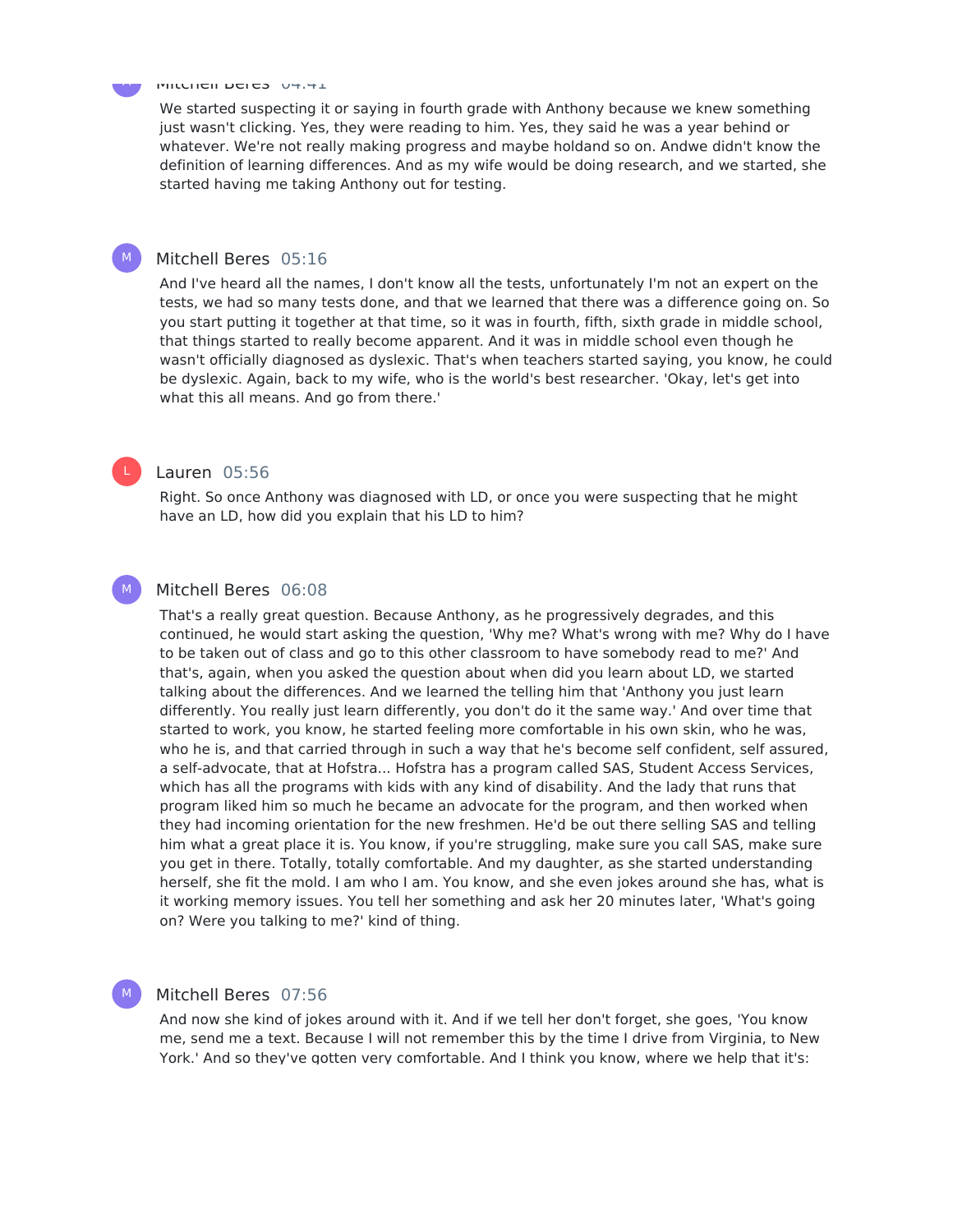#### Mitchell Beres 04:41

We started suspecting it or saying in fourth grade with Anthony because we knew something just wasn't clicking. Yes, they were reading to him. Yes, they said he was a year behind or whatever. We're not really making progress and maybe holdand so on. Andwe didn't know the definition of learning differences. And as my wife would be doing research, and we started, she started having me taking Anthony out for testing.

### Mitchell Beres 05:16

And I've heard all the names, I don't know all the tests, unfortunately I'm not an expert on the tests, we had so many tests done, and that we learned that there was a difference going on. So you start putting it together at that time, so it was in fourth, fifth, sixth grade in middle school, that things started to really become apparent. And it was in middle school even though he wasn't officially diagnosed as dyslexic. That's when teachers started saying, you know, he could be dyslexic. Again, back to my wife, who is the world's best researcher. 'Okay, let's get into what this all means. And go from there.'

# Lauren 05:56

Right. So once Anthony was diagnosed with LD, or once you were suspecting that he might have an LD, how did you explain that his LD to him?

### Mitchell Beres 06:08

That's a really great question. Because Anthony, as he progressively degrades, and this continued, he would start asking the question, 'Why me? What's wrong with me? Why do I have to be taken out of class and go to this other classroom to have somebody read to me?' And that's, again, when you asked the question about when did you learn about LD, we started talking about the differences. And we learned the telling him that 'Anthony you just learn differently. You really just learn differently, you don't do it the same way.' And over time that started to work, you know, he started feeling more comfortable in his own skin, who he was, who he is, and that carried through in such a way that he's become self confident, self assured, a self-advocate, that at Hofstra... Hofstra has a program called SAS, Student Access Services, which has all the programs with kids with any kind of disability. And the lady that runs that program liked him so much he became an advocate for the program, and then worked when they had incoming orientation for the new freshmen. He'd be out there selling SAS and telling him what a great place it is. You know, if you're struggling, make sure you call SAS, make sure you get in there. Totally, totally comfortable. And my daughter, as she started understanding herself, she fit the mold. I am who I am. You know, and she even jokes around she has, what is it working memory issues. You tell her something and ask her 20 minutes later, 'What's going on? Were you talking to me?' kind of thing.

# Mitchell Beres 07:56

And now she kind of jokes around with it. And if we tell her don't forget, she goes, 'You know me, send me a text. Because I will not remember this by the time I drive from Virginia, to New York.' And so they've gotten very comfortable. And I think you know, where we help that it's:



 $M_{\odot}$ 

L

 $M_{\odot}$ 

M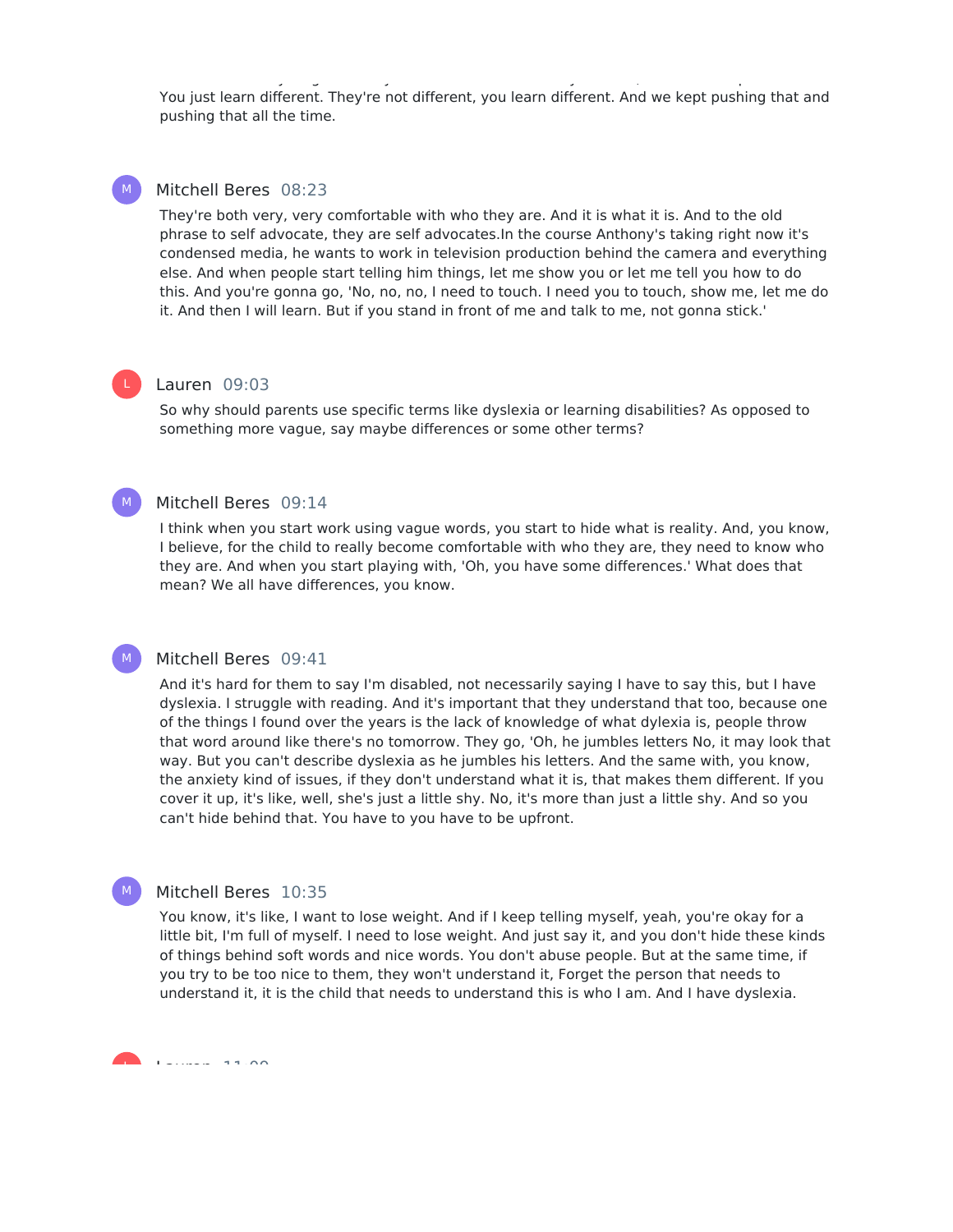You just learn different. They're not different, you learn different. And we kept pushing that and pushing that all the time.

York.' And so they've gotten very comfortable. And I think you know, where we help they've help that it's:: where we help that it's:

#### Mitchell Beres 08:23  $M_{\odot}$

They're both very, very comfortable with who they are. And it is what it is. And to the old phrase to self advocate, they are self advocates.In the course Anthony's taking right now it's condensed media, he wants to work in television production behind the camera and everything else. And when people start telling him things, let me show you or let me tell you how to do this. And you're gonna go, 'No, no, no, I need to touch. I need you to touch, show me, let me do it. And then I will learn. But if you stand in front of me and talk to me, not gonna stick.'

# Lauren 09:03

L

 $M_{\odot}$ 

So why should parents use specific terms like dyslexia or learning disabilities? As opposed to something more vague, say maybe differences or some other terms?

# Mitchell Beres 09:14

I think when you start work using vague words, you start to hide what is reality. And, you know, I believe, for the child to really become comfortable with who they are, they need to know who they are. And when you start playing with, 'Oh, you have some differences.' What does that mean? We all have differences, you know.

#### Mitchell Beres 09:41  $M_{\odot}$

And it's hard for them to say I'm disabled, not necessarily saying I have to say this, but I have dyslexia. I struggle with reading. And it's important that they understand that too, because one of the things I found over the years is the lack of knowledge of what dylexia is, people throw that word around like there's no tomorrow. They go, 'Oh, he jumbles letters No, it may look that way. But you can't describe dyslexia as he jumbles his letters. And the same with, you know, the anxiety kind of issues, if they don't understand what it is, that makes them different. If you cover it up, it's like, well, she's just a little shy. No, it's more than just a little shy. And so you can't hide behind that. You have to you have to be upfront.

#### Mitchell Beres 10:35  $M_{\odot}$

You know, it's like, I want to lose weight. And if I keep telling myself, yeah, you're okay for a little bit, I'm full of myself. I need to lose weight. And just say it, and you don't hide these kinds of things behind soft words and nice words. You don't abuse people. But at the same time, if you try to be too nice to them, they won't understand it, Forget the person that needs to understand it, it is the child that needs to understand this is who I am. And I have dyslexia.

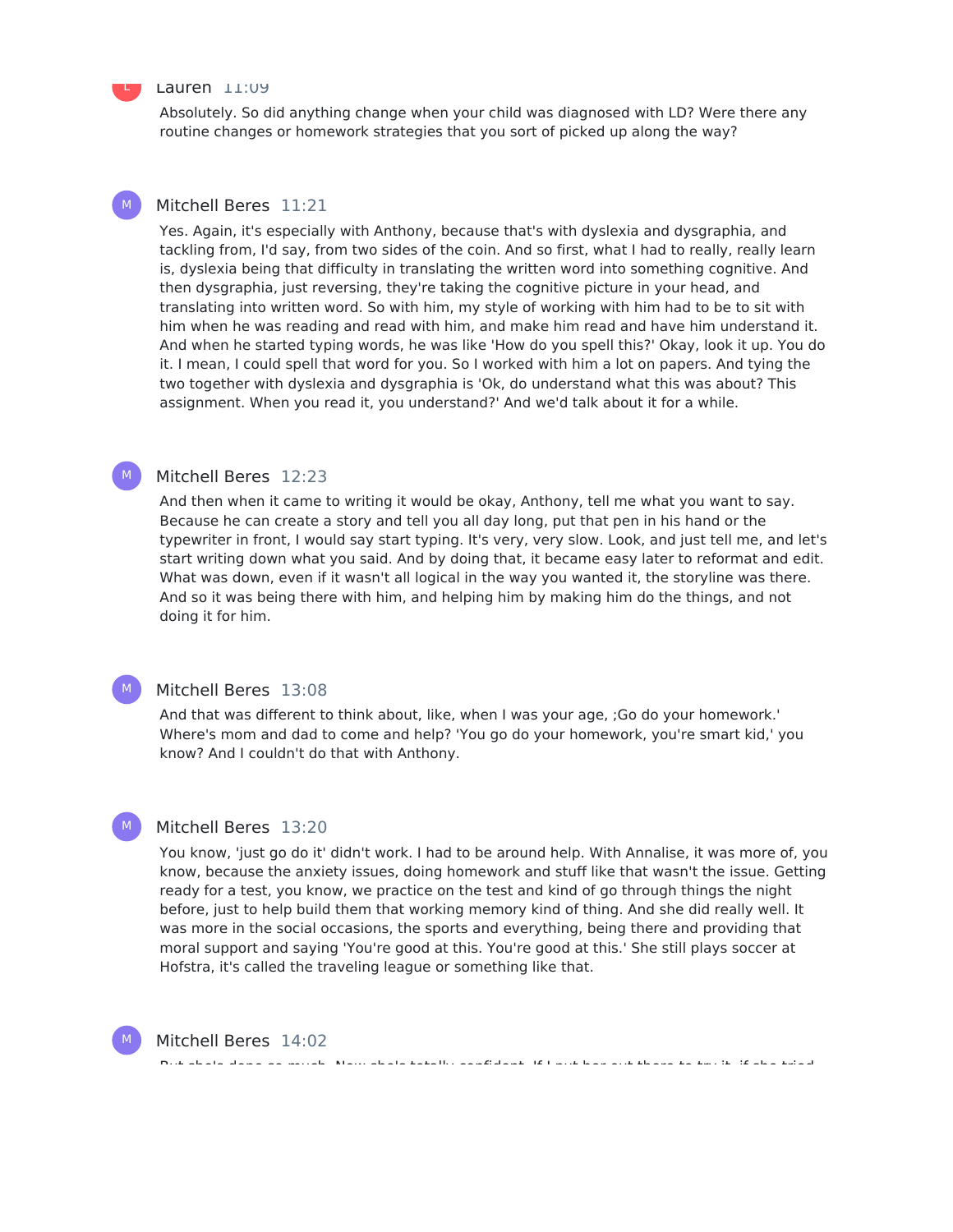### Lauren 11:09

Absolutely. So did anything change when your child was diagnosed with LD? Were there any routine changes or homework strategies that you sort of picked up along the way?

#### Mitchell Beres 11:21 M

Yes. Again, it's especially with Anthony, because that's with dyslexia and dysgraphia, and tackling from, I'd say, from two sides of the coin. And so first, what I had to really, really learn is, dyslexia being that difficulty in translating the written word into something cognitive. And then dysgraphia, just reversing, they're taking the cognitive picture in your head, and translating into written word. So with him, my style of working with him had to be to sit with him when he was reading and read with him, and make him read and have him understand it. And when he started typing words, he was like 'How do you spell this?' Okay, look it up. You do it. I mean, I could spell that word for you. So I worked with him a lot on papers. And tying the two together with dyslexia and dysgraphia is 'Ok, do understand what this was about? This assignment. When you read it, you understand?' And we'd talk about it for a while.



 $M_{\odot}$ 

 $M_{\odot}$ 

### Mitchell Beres 12:23

And then when it came to writing it would be okay, Anthony, tell me what you want to say. Because he can create a story and tell you all day long, put that pen in his hand or the typewriter in front, I would say start typing. It's very, very slow. Look, and just tell me, and let's start writing down what you said. And by doing that, it became easy later to reformat and edit. What was down, even if it wasn't all logical in the way you wanted it, the storyline was there. And so it was being there with him, and helping him by making him do the things, and not doing it for him.

### Mitchell Beres 13:08

And that was different to think about, like, when I was your age, ;Go do your homework.' Where's mom and dad to come and help? 'You go do your homework, you're smart kid,' you know? And I couldn't do that with Anthony.

# Mitchell Beres 13:20

You know, 'just go do it' didn't work. I had to be around help. With Annalise, it was more of, you know, because the anxiety issues, doing homework and stuff like that wasn't the issue. Getting ready for a test, you know, we practice on the test and kind of go through things the night before, just to help build them that working memory kind of thing. And she did really well. It was more in the social occasions, the sports and everything, being there and providing that moral support and saying 'You're good at this. You're good at this.' She still plays soccer at Hofstra, it's called the traveling league or something like that.

But she's done so much. Now she's totally confident. If I put her out there to try it, if she tried



Mitchell Beres 14:02

L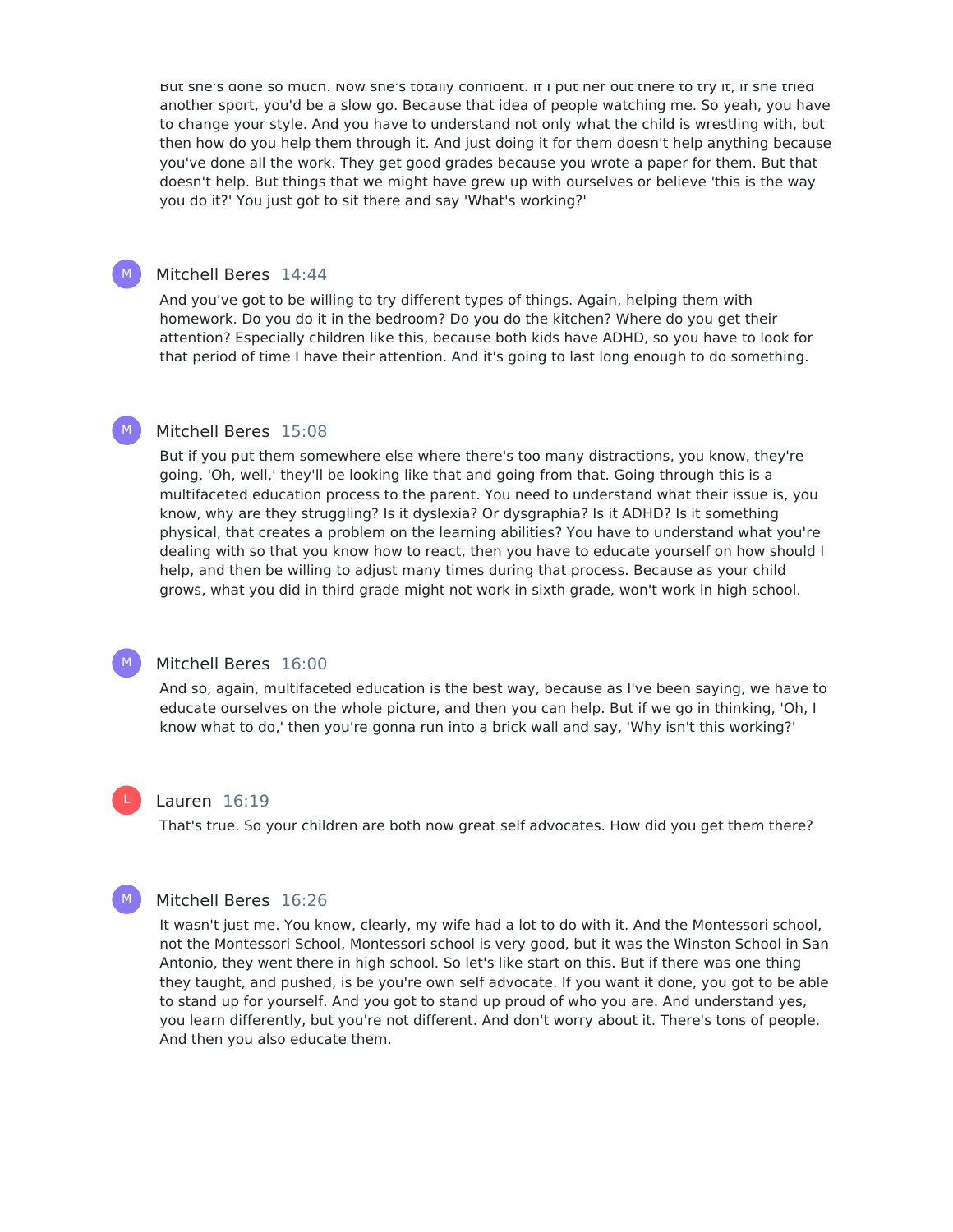But she's done so much. Now she's totally confident. If I put her out there to try It, If she tried another sport, you'd be a slow go. Because that idea of people watching me. So yeah, you have to change your style. And you have to understand not only what the child is wrestling with, but then how do you help them through it. And just doing it for them doesn't help anything because you've done all the work. They get good grades because you wrote a paper for them. But that doesn't help. But things that we might have grew up with ourselves or believe 'this is the way you do it?' You just got to sit there and say 'What's working?'

# Mitchell Beres 14:44

And you've got to be willing to try different types of things. Again, helping them with homework. Do you do it in the bedroom? Do you do the kitchen? Where do you get their attention? Especially children like this, because both kids have ADHD, so you have to look for that period of time I have their attention. And it's going to last long enough to do something.

#### Mitchell Beres 15:08  $M_{\odot}$

But if you put them somewhere else where there's too many distractions, you know, they're going, 'Oh, well,' they'll be looking like that and going from that. Going through this is a multifaceted education process to the parent. You need to understand what their issue is, you know, why are they struggling? Is it dyslexia? Or dysgraphia? Is it ADHD? Is it something physical, that creates a problem on the learning abilities? You have to understand what you're dealing with so that you know how to react, then you have to educate yourself on how should I help, and then be willing to adjust many times during that process. Because as your child grows, what you did in third grade might not work in sixth grade, won't work in high school.

# M

 $M_{\odot}$ 

# Mitchell Beres 16:00

And so, again, multifaceted education is the best way, because as I've been saying, we have to educate ourselves on the whole picture, and then you can help. But if we go in thinking, 'Oh, I know what to do,' then you're gonna run into a brick wall and say, 'Why isn't this working?'

#### Lauren 16:19

That's true. So your children are both now great self advocates. How did you get them there?



L

# Mitchell Beres 16:26

It wasn't just me. You know, clearly, my wife had a lot to do with it. And the Montessori school, not the Montessori School, Montessori school is very good, but it was the Winston School in San Antonio, they went there in high school. So let's like start on this. But if there was one thing they taught, and pushed, is be you're own self advocate. If you want it done, you got to be able to stand up for yourself. And you got to stand up proud of who you are. And understand yes, you learn differently, but you're not different. And don't worry about it. There's tons of people. And then you also educate them.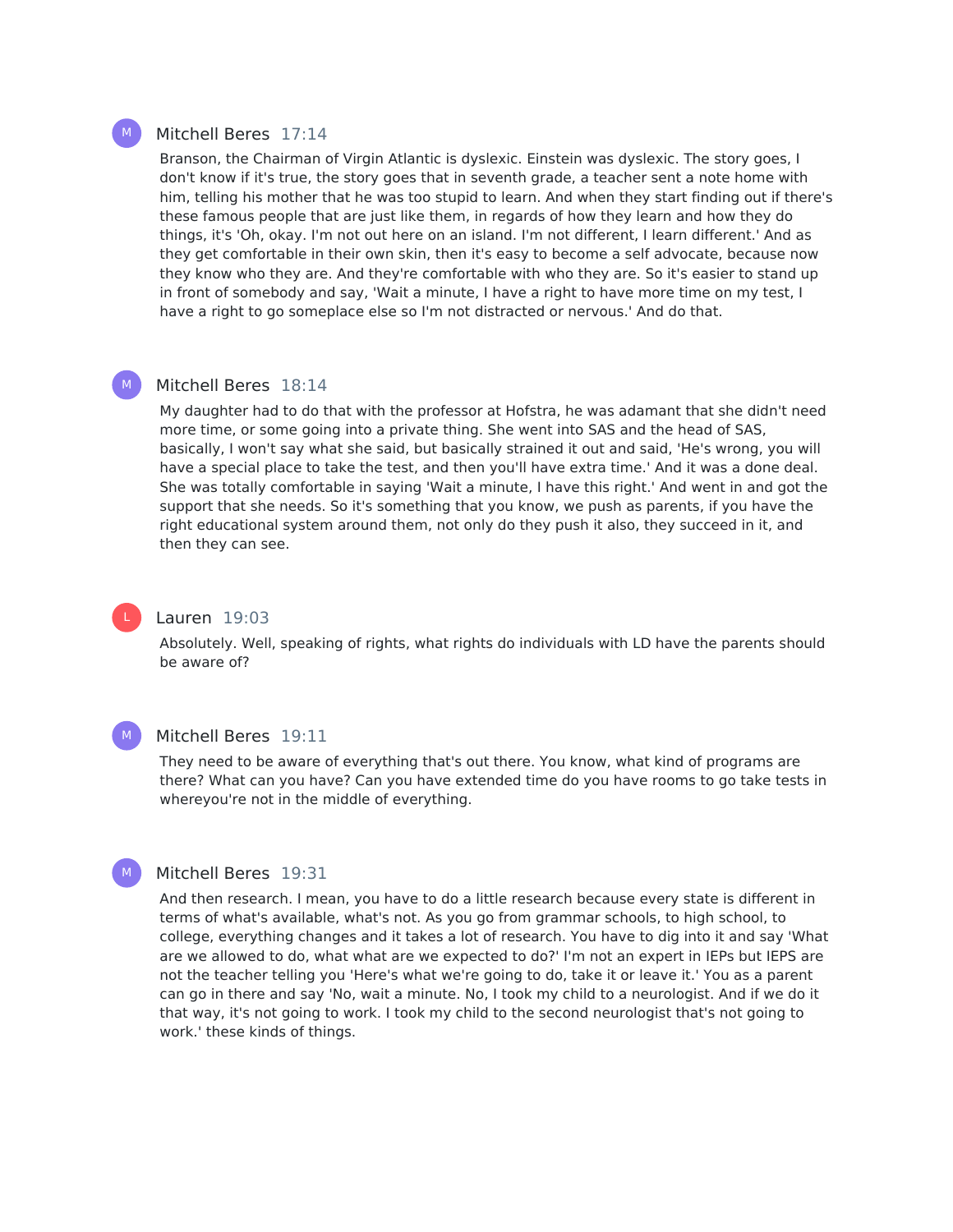### Mitchell Beres 17:14

Branson, the Chairman of Virgin Atlantic is dyslexic. Einstein was dyslexic. The story goes, I don't know if it's true, the story goes that in seventh grade, a teacher sent a note home with him, telling his mother that he was too stupid to learn. And when they start finding out if there's these famous people that are just like them, in regards of how they learn and how they do things, it's 'Oh, okay. I'm not out here on an island. I'm not different, I learn different.' And as they get comfortable in their own skin, then it's easy to become a self advocate, because now they know who they are. And they're comfortable with who they are. So it's easier to stand up in front of somebody and say, 'Wait a minute, I have a right to have more time on my test, I have a right to go someplace else so I'm not distracted or nervous.' And do that.

# Mitchell Beres 18:14

My daughter had to do that with the professor at Hofstra, he was adamant that she didn't need more time, or some going into a private thing. She went into SAS and the head of SAS, basically, I won't say what she said, but basically strained it out and said, 'He's wrong, you will have a special place to take the test, and then you'll have extra time.' And it was a done deal. She was totally comfortable in saying 'Wait a minute, I have this right.' And went in and got the support that she needs. So it's something that you know, we push as parents, if you have the right educational system around them, not only do they push it also, they succeed in it, and then they can see.



 $M_{\odot}$ 

# Lauren 19:03

Absolutely. Well, speaking of rights, what rights do individuals with LD have the parents should be aware of?



# Mitchell Beres 19:11

They need to be aware of everything that's out there. You know, what kind of programs are there? What can you have? Can you have extended time do you have rooms to go take tests in whereyou're not in the middle of everything.



# Mitchell Beres 19:31

And then research. I mean, you have to do a little research because every state is different in terms of what's available, what's not. As you go from grammar schools, to high school, to college, everything changes and it takes a lot of research. You have to dig into it and say 'What are we allowed to do, what what are we expected to do?' I'm not an expert in IEPs but IEPS are not the teacher telling you 'Here's what we're going to do, take it or leave it.' You as a parent can go in there and say 'No, wait a minute. No, I took my child to a neurologist. And if we do it that way, it's not going to work. I took my child to the second neurologist that's not going to work.' these kinds of things.

M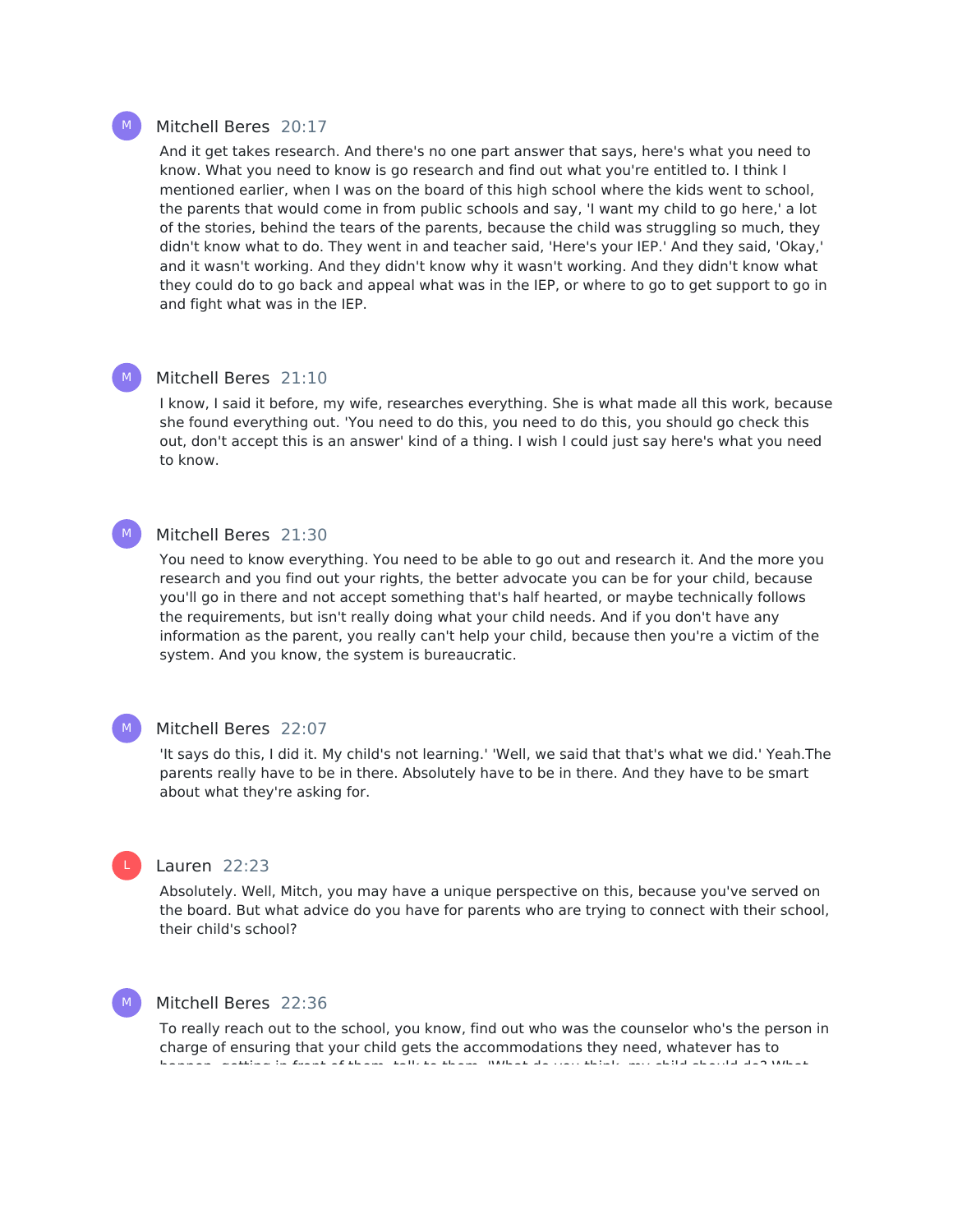# Mitchell Beres 20:17

And it get takes research. And there's no one part answer that says, here's what you need to know. What you need to know is go research and find out what you're entitled to. I think I mentioned earlier, when I was on the board of this high school where the kids went to school, the parents that would come in from public schools and say, 'I want my child to go here,' a lot of the stories, behind the tears of the parents, because the child was struggling so much, they didn't know what to do. They went in and teacher said, 'Here's your IEP.' And they said, 'Okay,' and it wasn't working. And they didn't know why it wasn't working. And they didn't know what they could do to go back and appeal what was in the IEP, or where to go to get support to go in and fight what was in the IEP.

#### Mitchell Beres 21:10 M

I know, I said it before, my wife, researches everything. She is what made all this work, because she found everything out. 'You need to do this, you need to do this, you should go check this out, don't accept this is an answer' kind of a thing. I wish I could just say here's what you need to know.

#### Mitchell Beres 21:30  $M_{\odot}$

You need to know everything. You need to be able to go out and research it. And the more you research and you find out your rights, the better advocate you can be for your child, because you'll go in there and not accept something that's half hearted, or maybe technically follows the requirements, but isn't really doing what your child needs. And if you don't have any information as the parent, you really can't help your child, because then you're a victim of the system. And you know, the system is bureaucratic.

### M

L

# Mitchell Beres 22:07

'It says do this, I did it. My child's not learning.' 'Well, we said that that's what we did.' Yeah.The parents really have to be in there. Absolutely have to be in there. And they have to be smart about what they're asking for.

# Lauren 22:23

Absolutely. Well, Mitch, you may have a unique perspective on this, because you've served on the board. But what advice do you have for parents who are trying to connect with their school, their child's school?

# M

# Mitchell Beres 22:36

To really reach out to the school, you know, find out who was the counselor who's the person in charge of ensuring that your child gets the accommodations they need, whatever has to happen, getting in front of them, talk to them, 'What do you think, my child should do? What

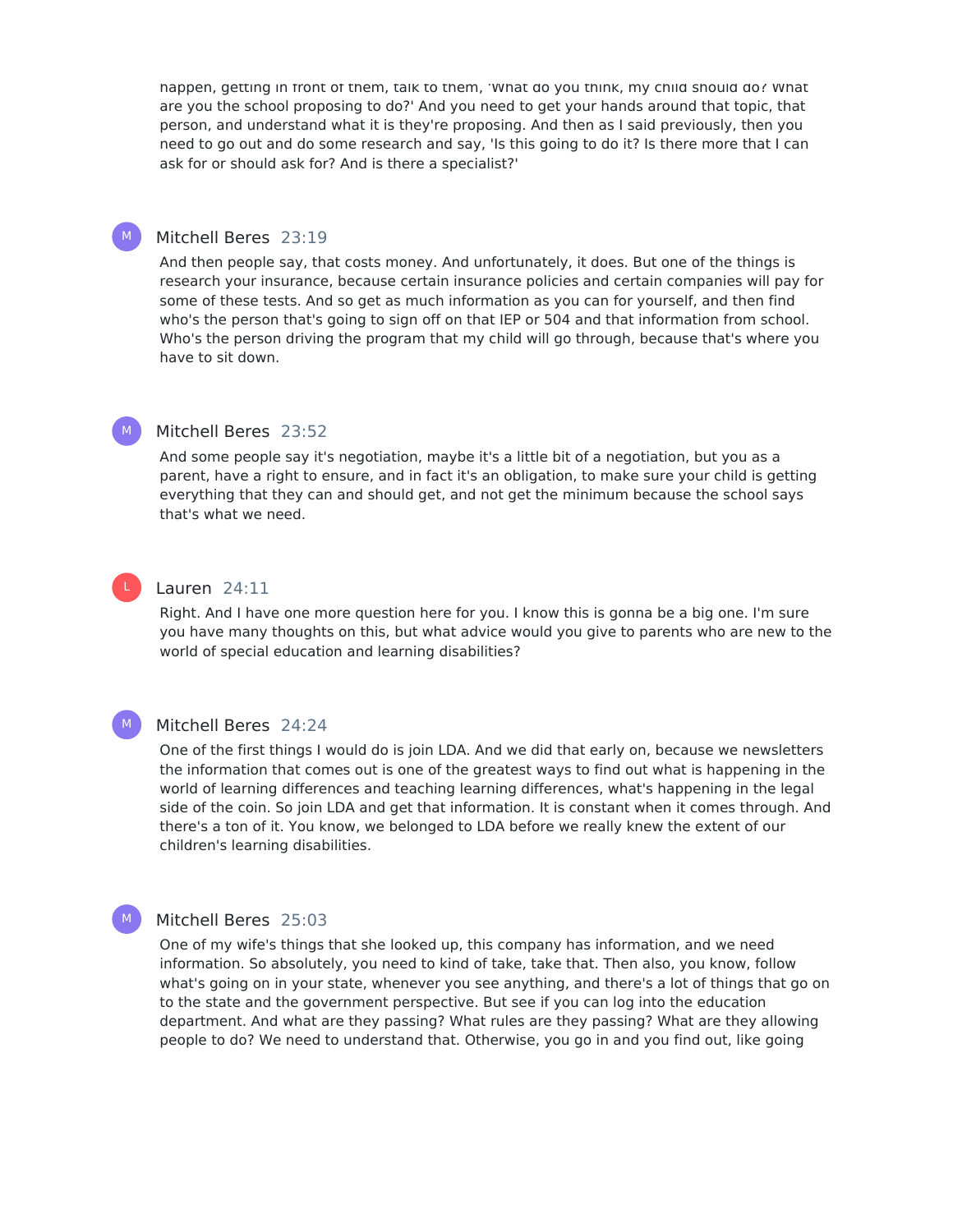happen, getting in front of them, talk to them, 'What do you think, my child should do? What are you the school proposing to do?' And you need to get your hands around that topic, that person, and understand what it is they're proposing. And then as I said previously, then you need to go out and do some research and say, 'Is this going to do it? Is there more that I can ask for or should ask for? And is there a specialist?'

# Mitchell Beres 23:19

And then people say, that costs money. And unfortunately, it does. But one of the things is research your insurance, because certain insurance policies and certain companies will pay for some of these tests. And so get as much information as you can for yourself, and then find who's the person that's going to sign off on that IEP or 504 and that information from school. Who's the person driving the program that my child will go through, because that's where you have to sit down.

# Mitchell Beres 23:52

And some people say it's negotiation, maybe it's a little bit of a negotiation, but you as a parent, have a right to ensure, and in fact it's an obligation, to make sure your child is getting everything that they can and should get, and not get the minimum because the school says that's what we need.

# L

M

M

 $M_{\odot}$ 

 $M$ 

# Lauren 24:11

Right. And I have one more question here for you. I know this is gonna be a big one. I'm sure you have many thoughts on this, but what advice would you give to parents who are new to the world of special education and learning disabilities?

# Mitchell Beres 24:24

One of the first things I would do is join LDA. And we did that early on, because we newsletters the information that comes out is one of the greatest ways to find out what is happening in the world of learning differences and teaching learning differences, what's happening in the legal side of the coin. So join LDA and get that information. It is constant when it comes through. And there's a ton of it. You know, we belonged to LDA before we really knew the extent of our children's learning disabilities.

# Mitchell Beres 25:03

One of my wife's things that she looked up, this company has information, and we need information. So absolutely, you need to kind of take, take that. Then also, you know, follow what's going on in your state, whenever you see anything, and there's a lot of things that go on to the state and the government perspective. But see if you can log into the education department. And what are they passing? What rules are they passing? What are they allowing people to do? We need to understand that. Otherwise, you go in and you find out, like going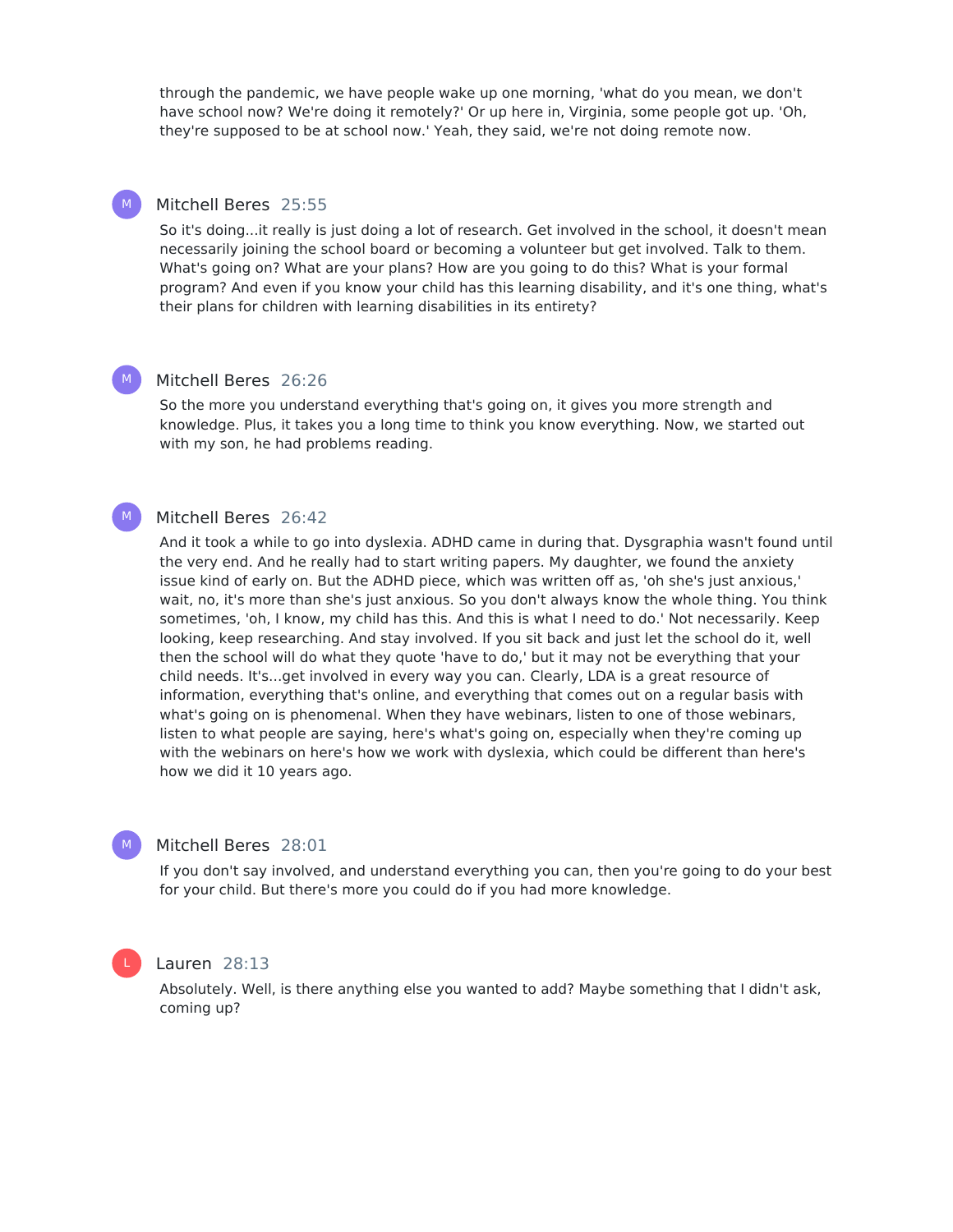through the pandemic, we have people wake up one morning, 'what do you mean, we don't have school now? We're doing it remotely?' Or up here in, Virginia, some people got up. 'Oh, they're supposed to be at school now.' Yeah, they said, we're not doing remote now.

# Mitchell Beres 25:55

M

M

So it's doing...it really is just doing a lot of research. Get involved in the school, it doesn't mean necessarily joining the school board or becoming a volunteer but get involved. Talk to them. What's going on? What are your plans? How are you going to do this? What is your formal program? And even if you know your child has this learning disability, and it's one thing, what's their plans for children with learning disabilities in its entirety?

#### Mitchell Beres 26:26  $M_{\odot}$

So the more you understand everything that's going on, it gives you more strength and knowledge. Plus, it takes you a long time to think you know everything. Now, we started out with my son, he had problems reading.

# Mitchell Beres 26:42

And it took a while to go into dyslexia. ADHD came in during that. Dysgraphia wasn't found until the very end. And he really had to start writing papers. My daughter, we found the anxiety issue kind of early on. But the ADHD piece, which was written off as, 'oh she's just anxious,' wait, no, it's more than she's just anxious. So you don't always know the whole thing. You think sometimes, 'oh, I know, my child has this. And this is what I need to do.' Not necessarily. Keep looking, keep researching. And stay involved. If you sit back and just let the school do it, well then the school will do what they quote 'have to do,' but it may not be everything that your child needs. It's...get involved in every way you can. Clearly, LDA is a great resource of information, everything that's online, and everything that comes out on a regular basis with what's going on is phenomenal. When they have webinars, listen to one of those webinars, listen to what people are saying, here's what's going on, especially when they're coming up with the webinars on here's how we work with dyslexia, which could be different than here's how we did it 10 years ago.

### Mitchell Beres 28:01

If you don't say involved, and understand everything you can, then you're going to do your best for your child. But there's more you could do if you had more knowledge.

# L

M

# Lauren 28:13

Absolutely. Well, is there anything else you wanted to add? Maybe something that I didn't ask, coming up?